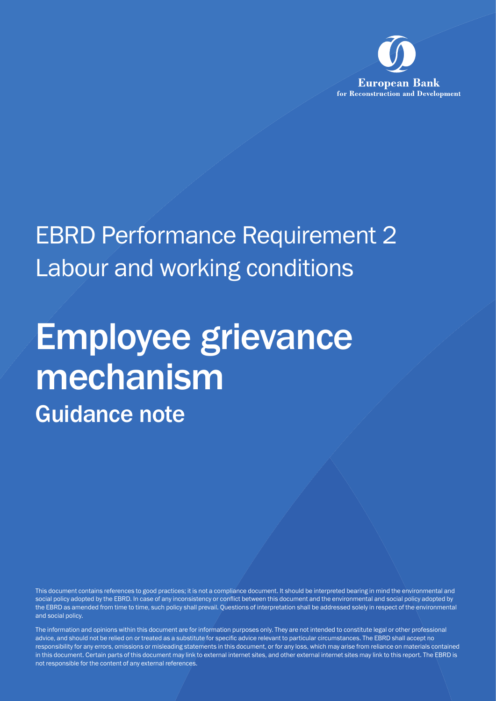

## EBRD Performance Requirement 2 Labour and working conditions

# Employee grievance mechanism Guidance note

This document contains references to good practices; it is not a compliance document. It should be interpreted bearing in mind the environmental and social policy adopted by the EBRD. In case of any inconsistency or conflict between this document and the environmental and social policy adopted by the EBRD as amended from time to time, such policy shall prevail. Questions of interpretation shall be addressed solely in respect of the environmental and social policy.

The information and opinions within this document are for information purposes only. They are not intended to constitute legal or other professional advice, and should not be relied on or treated as a substitute for specific advice relevant to particular circumstances. The EBRD shall accept no responsibility for any errors, omissions or misleading statements in this document, or for any loss, which may arise from reliance on materials contained in this document. Certain parts of this document may link to external internet sites, and other external internet sites may link to this report. The EBRD is not responsible for the content of any external references.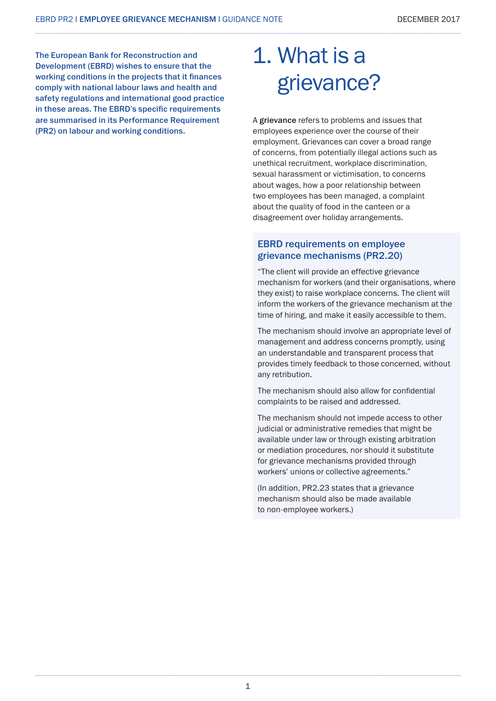The European Bank for Reconstruction and Development (EBRD) wishes to ensure that the working conditions in the projects that it finances comply with national labour laws and health and safety regulations and international good practice in these areas. The EBRD's specific requirements are summarised in its Performance Requirement (PR2) on labour and working conditions.

### 1. What is a grievance?

A grievance refers to problems and issues that employees experience over the course of their employment. Grievances can cover a broad range of concerns, from potentially illegal actions such as unethical recruitment, workplace discrimination, sexual harassment or victimisation, to concerns about wages, how a poor relationship between two employees has been managed, a complaint about the quality of food in the canteen or a disagreement over holiday arrangements.

#### EBRD requirements on employee grievance mechanisms (PR2.20)

"The client will provide an effective grievance mechanism for workers (and their organisations, where they exist) to raise workplace concerns. The client will inform the workers of the grievance mechanism at the time of hiring, and make it easily accessible to them.

The mechanism should involve an appropriate level of management and address concerns promptly, using an understandable and transparent process that provides timely feedback to those concerned, without any retribution.

The mechanism should also allow for confidential complaints to be raised and addressed.

The mechanism should not impede access to other judicial or administrative remedies that might be available under law or through existing arbitration or mediation procedures, nor should it substitute for grievance mechanisms provided through workers' unions or collective agreements."

(In addition, PR2.23 states that a grievance mechanism should also be made available to non‑employee workers.)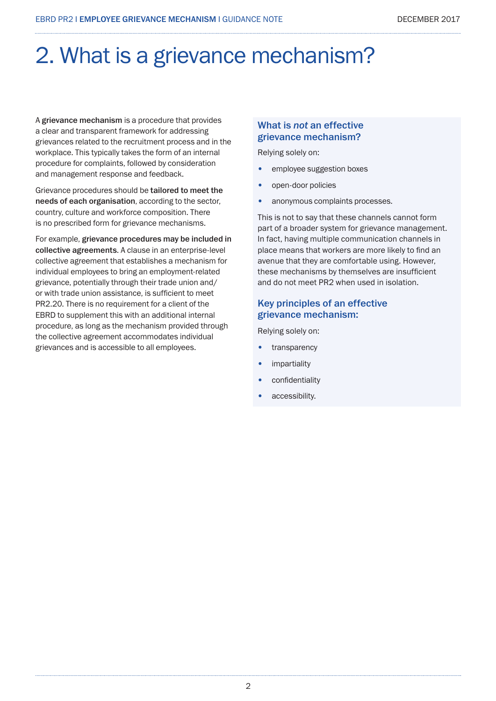### 2. What is a grievance mechanism?

A grievance mechanism is a procedure that provides a clear and transparent framework for addressing grievances related to the recruitment process and in the workplace. This typically takes the form of an internal procedure for complaints, followed by consideration and management response and feedback.

Grievance procedures should be tailored to meet the needs of each organisation, according to the sector, country, culture and workforce composition. There is no prescribed form for grievance mechanisms.

For example, grievance procedures may be included in collective agreements. A clause in an enterprise-level collective agreement that establishes a mechanism for individual employees to bring an employment-related grievance, potentially through their trade union and/ or with trade union assistance, is sufficient to meet PR2.20. There is no requirement for a client of the EBRD to supplement this with an additional internal procedure, as long as the mechanism provided through the collective agreement accommodates individual grievances and is accessible to all employees.

#### What is *not* an effective grievance mechanism?

Relying solely on:

- employee suggestion boxes
- open-door policies
- anonymous complaints processes.

This is not to say that these channels cannot form part of a broader system for grievance management. In fact, having multiple communication channels in place means that workers are more likely to find an avenue that they are comfortable using. However, these mechanisms by themselves are insufficient and do not meet PR2 when used in isolation.

#### Key principles of an effective grievance mechanism:

Relying solely on:

- transparency
- **impartiality**
- confidentiality
- accessibility.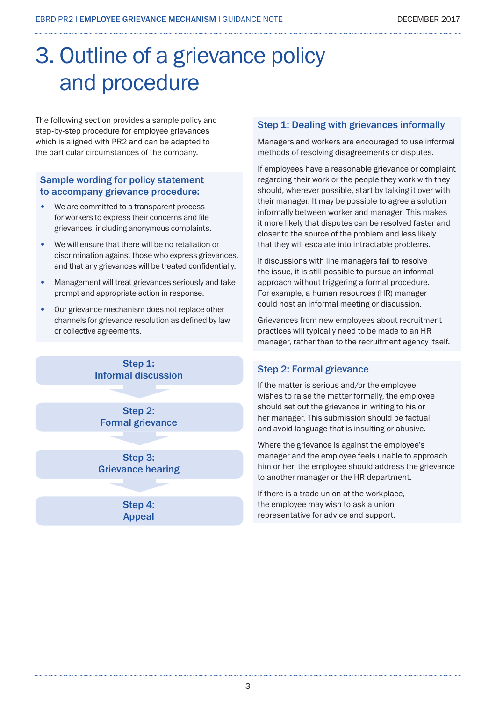### 3. Outline of a grievance policy and procedure

The following section provides a sample policy and step-by-step procedure for employee grievances which is aligned with PR2 and can be adapted to the particular circumstances of the company.

#### Sample wording for policy statement to accompany grievance procedure:

- We are committed to a transparent process for workers to express their concerns and file grievances, including anonymous complaints.
- We will ensure that there will be no retaliation or discrimination against those who express grievances, and that any grievances will be treated confidentially.
- Management will treat grievances seriously and take prompt and appropriate action in response.
- Our grievance mechanism does not replace other channels for grievance resolution as defined by law or collective agreements.



#### Step 1: Dealing with grievances informally

Managers and workers are encouraged to use informal methods of resolving disagreements or disputes.

If employees have a reasonable grievance or complaint regarding their work or the people they work with they should, wherever possible, start by talking it over with their manager. It may be possible to agree a solution informally between worker and manager. This makes it more likely that disputes can be resolved faster and closer to the source of the problem and less likely that they will escalate into intractable problems.

If discussions with line managers fail to resolve the issue, it is still possible to pursue an informal approach without triggering a formal procedure. For example, a human resources (HR) manager could host an informal meeting or discussion.

Grievances from new employees about recruitment practices will typically need to be made to an HR manager, rather than to the recruitment agency itself.

#### Step 2: Formal grievance

If the matter is serious and/or the employee wishes to raise the matter formally, the employee should set out the grievance in writing to his or her manager. This submission should be factual and avoid language that is insulting or abusive.

Where the grievance is against the employee's manager and the employee feels unable to approach him or her, the employee should address the grievance to another manager or the HR department.

If there is a trade union at the workplace, the employee may wish to ask a union representative for advice and support.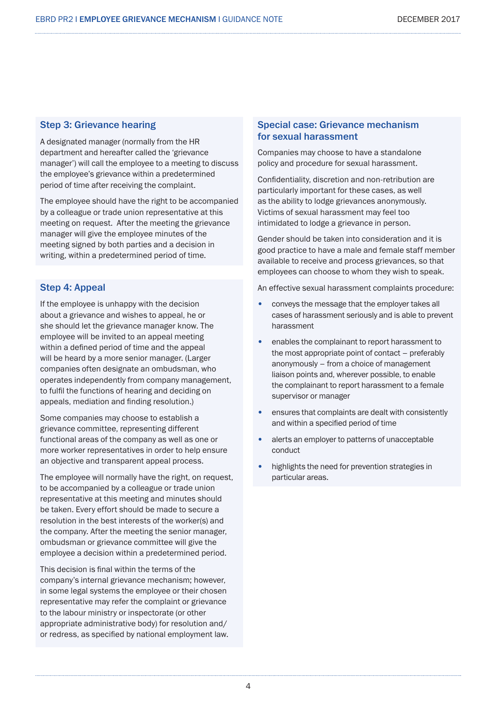#### Step 3: Grievance hearing

A designated manager (normally from the HR department and hereafter called the 'grievance manager') will call the employee to a meeting to discuss the employee's grievance within a predetermined period of time after receiving the complaint.

The employee should have the right to be accompanied by a colleague or trade union representative at this meeting on request. After the meeting the grievance manager will give the employee minutes of the meeting signed by both parties and a decision in writing, within a predetermined period of time.

#### Step 4: Appeal

If the employee is unhappy with the decision about a grievance and wishes to appeal, he or she should let the grievance manager know. The employee will be invited to an appeal meeting within a defined period of time and the appeal will be heard by a more senior manager. (Larger companies often designate an ombudsman, who operates independently from company management, to fulfil the functions of hearing and deciding on appeals, mediation and finding resolution.)

Some companies may choose to establish a grievance committee, representing different functional areas of the company as well as one or more worker representatives in order to help ensure an objective and transparent appeal process.

The employee will normally have the right, on request, to be accompanied by a colleague or trade union representative at this meeting and minutes should be taken. Every effort should be made to secure a resolution in the best interests of the worker(s) and the company. After the meeting the senior manager, ombudsman or grievance committee will give the employee a decision within a predetermined period.

This decision is final within the terms of the company's internal grievance mechanism; however, in some legal systems the employee or their chosen representative may refer the complaint or grievance to the labour ministry or inspectorate (or other appropriate administrative body) for resolution and/ or redress, as specified by national employment law.

#### Special case: Grievance mechanism for sexual harassment

Companies may choose to have a standalone policy and procedure for sexual harassment.

Confidentiality, discretion and non-retribution are particularly important for these cases, as well as the ability to lodge grievances anonymously. Victims of sexual harassment may feel too intimidated to lodge a grievance in person.

Gender should be taken into consideration and it is good practice to have a male and female staff member available to receive and process grievances, so that employees can choose to whom they wish to speak.

An effective sexual harassment complaints procedure:

- conveys the message that the employer takes all cases of harassment seriously and is able to prevent harassment
- enables the complainant to report harassment to the most appropriate point of contact – preferably anonymously – from a choice of management liaison points and, wherever possible, to enable the complainant to report harassment to a female supervisor or manager
- ensures that complaints are dealt with consistently and within a specified period of time
- alerts an employer to patterns of unacceptable conduct
- highlights the need for prevention strategies in particular areas.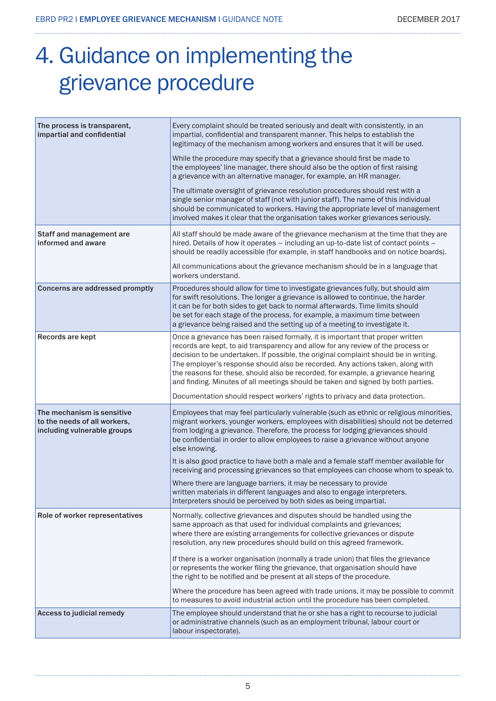### 4. Guidance on implementing the grievance procedure

| The process is transparent,<br>impartial and confidential                                 | Every complaint should be treated seriously and dealt with consistently, in an<br>impartial, confidential and transparent manner. This helps to establish the<br>legitimacy of the mechanism among workers and ensures that it will be used.                                                                                                                                                                                                                                                                         |
|-------------------------------------------------------------------------------------------|----------------------------------------------------------------------------------------------------------------------------------------------------------------------------------------------------------------------------------------------------------------------------------------------------------------------------------------------------------------------------------------------------------------------------------------------------------------------------------------------------------------------|
|                                                                                           | While the procedure may specify that a grievance should first be made to<br>the employees' line manager, there should also be the option of first raising<br>a grievance with an alternative manager, for example, an HR manager.                                                                                                                                                                                                                                                                                    |
|                                                                                           | The ultimate oversight of grievance resolution procedures should rest with a<br>single senior manager of staff (not with junior staff). The name of this individual<br>should be communicated to workers. Having the appropriate level of management<br>involved makes it clear that the organisation takes worker grievances seriously.                                                                                                                                                                             |
| Staff and management are<br>informed and aware                                            | All staff should be made aware of the grievance mechanism at the time that they are<br>hired. Details of how it operates - including an up-to-date list of contact points -<br>should be readily accessible (for example, in staff handbooks and on notice boards).                                                                                                                                                                                                                                                  |
|                                                                                           | All communications about the grievance mechanism should be in a language that<br>workers understand.                                                                                                                                                                                                                                                                                                                                                                                                                 |
| Concerns are addressed promptly                                                           | Procedures should allow for time to investigate grievances fully, but should aim<br>for swift resolutions. The longer a grievance is allowed to continue, the harder<br>it can be for both sides to get back to normal afterwards. Time limits should<br>be set for each stage of the process, for example, a maximum time between<br>a grievance being raised and the setting up of a meeting to investigate it.                                                                                                    |
| Records are kept                                                                          | Once a grievance has been raised formally, it is important that proper written<br>records are kept, to aid transparency and allow for any review of the process or<br>decision to be undertaken. If possible, the original complaint should be in writing.<br>The employer's response should also be recorded. Any actions taken, along with<br>the reasons for these, should also be recorded, for example, a grievance hearing<br>and finding. Minutes of all meetings should be taken and signed by both parties. |
|                                                                                           | Documentation should respect workers' rights to privacy and data protection.                                                                                                                                                                                                                                                                                                                                                                                                                                         |
| The mechanism is sensitive<br>to the needs of all workers,<br>including vulnerable groups | Employees that may feel particularly vulnerable (such as ethnic or religious minorities,<br>migrant workers, younger workers, employees with disabilities) should not be deterred<br>from lodging a grievance. Therefore, the process for lodging grievances should<br>be confidential in order to allow employees to raise a grievance without anyone<br>else knowing.                                                                                                                                              |
|                                                                                           | It is also good practice to have both a male and a female staff member available for<br>receiving and processing grievances so that employees can choose whom to speak to.                                                                                                                                                                                                                                                                                                                                           |
|                                                                                           | Where there are language barriers, it may be necessary to provide<br>written materials in different languages and also to engage interpreters.<br>Interpreters should be perceived by both sides as being impartial.                                                                                                                                                                                                                                                                                                 |
| Role of worker representatives                                                            | Normally, collective grievances and disputes should be handled using the<br>same approach as that used for individual complaints and grievances;<br>where there are existing arrangements for collective grievances or dispute<br>resolution, any new procedures should build on this agreed framework.                                                                                                                                                                                                              |
|                                                                                           | If there is a worker organisation (normally a trade union) that files the grievance<br>or represents the worker filing the grievance, that organisation should have<br>the right to be notified and be present at all steps of the procedure.                                                                                                                                                                                                                                                                        |
|                                                                                           | Where the procedure has been agreed with trade unions, it may be possible to commit<br>to measures to avoid industrial action until the procedure has been completed.                                                                                                                                                                                                                                                                                                                                                |
| Access to judicial remedy                                                                 | The employee should understand that he or she has a right to recourse to judicial<br>or administrative channels (such as an employment tribunal, labour court or<br>labour inspectorate).                                                                                                                                                                                                                                                                                                                            |